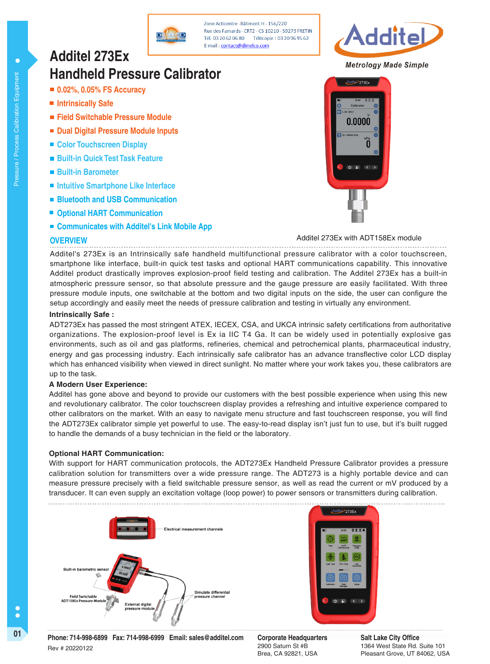

Zone Acticentre - Râtiment H - 156/220 Rue des Famards - CRT2 - CS 10210 - 59273 FRETIN Tél. 03 20 62 06 80 Télécopie: 03 20 96 95 62 E-mail: contact@dimelco.com



**Metrology Made Simple** 

 $\mathbb{H}$ e $\overline{P}$ 273Ex

0.0000

 $\overline{0}$ 

# **Handheld Pressure Calibrator**

**0.02%, 0.05% FS Accuracy**

**Additel 273Ex** 

- **Intrinsically Safe**
- **Field Switchable Pressure Module**
- **Dual Digital Pressure Module Inputs**
- Color Touchscreen Display
- **Built-in Quick Test Task Feature**
- **Built-in Barometer**
- **Intuitive Smartphone Like Interface**
- **Bluetooth and USB Communication**
- **Optional HART Communication**
- Communicates with Additel's Link Mobile App

### **OVERVIEW**

Additel 273Ex with ADT158Ex module

Additel's 273Ex is an Intrinsically safe handheld multifunctional pressure calibrator with a color touchscreen, smartphone like interface, built-in quick test tasks and optional HART communications capability. This innovative Additel product drastically improves explosion-proof field testing and calibration. The Additel 273Ex has a built-in atmospheric pressure sensor, so that absolute pressure and the gauge pressure are easily facilitated. With three pressure module inputs, one switchable at the bottom and two digital inputs on the side, the user can configure the setup accordingly and easily meet the needs of pressure calibration and testing in virtually any environment.

#### **Intrinsically Safe :**

ADT273Ex has passed the most stringent ATEX, IECEX, CSA, and UKCA intrinsic safety certifications from authoritative organizations. The explosion-proof level is Ex ia IIC T4 Ga. It can be widely used in potentially explosive gas environments, such as oil and gas platforms, refineries, chemical and petrochemical plants, pharmaceutical industry, energy and gas processing industry. Each intrinsically safe calibrator has an advance transflective color LCD display which has enhanced visibility when viewed in direct sunlight. No matter where your work takes you, these calibrators are up to the task.

### **A Modern User Experience:**

Additel has gone above and beyond to provide our customers with the best possible experience when using this new and revolutionary calibrator. The color touchscreen display provides a refreshing and intuitive experience compared to other calibrators on the market. With an easy to navigate menu structure and fast touchscreen response, you will find the ADT273Ex calibrator simple yet powerful to use. The easy-to-read display isn't just fun to use, but it's built rugged to handle the demands of a busy technician in the field or the laboratory.

## **Optional HART Communication:**

With support for HART communication protocols, the ADT273Ex Handheld Pressure Calibrator provides a pressure calibration solution for transmitters over a wide pressure range. The ADT273 is a highly portable device and can measure pressure precisely with a field switchable pressure sensor, as well as read the current or mV produced by a transducer. It can even supply an excitation voltage (loop power) to power sensors or transmitters during calibration.



 $\bullet$ 

2900 Saturn St #B Brea, CA 92821, USA

**Salt Lake City Office** 1364 West State Rd. Suite 101 Pleasant Grove, UT 84062, USA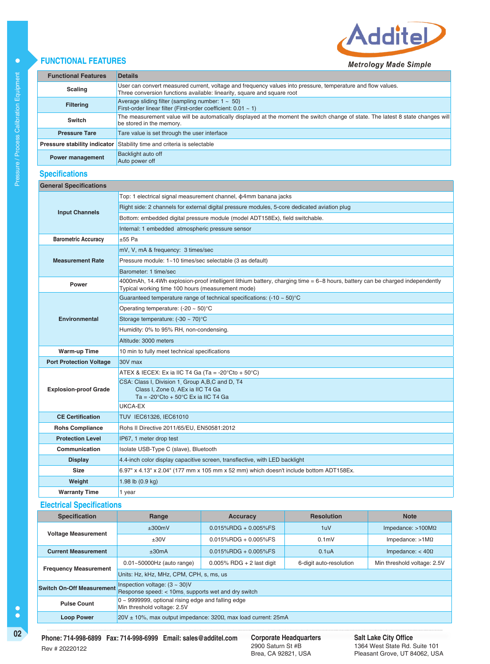

# **FUNCTIONAL FEATURES**

|                                     | --                                                                                                                                                                                     |
|-------------------------------------|----------------------------------------------------------------------------------------------------------------------------------------------------------------------------------------|
| <b>Functional Features</b>          | <b>Details</b>                                                                                                                                                                         |
| <b>Scaling</b>                      | User can convert measured current, voltage and frequency values into pressure, temperature and flow values.<br>Three conversion functions available: linearity, square and square root |
| <b>Filtering</b>                    | Average sliding filter (sampling number: $1 \sim 50$ )<br>First-order linear filter (First-order coefficient: $0.01 - 1$ )                                                             |
| Switch                              | The measurement value will be automatically displayed at the moment the switch change of state. The latest 8 state changes will<br>be stored in the memory.                            |
| <b>Pressure Tare</b>                | Tare value is set through the user interface                                                                                                                                           |
| <b>Pressure stability indicator</b> | Stability time and criteria is selectable                                                                                                                                              |
| <b>Power management</b>             | Backlight auto off<br>Auto power off                                                                                                                                                   |
|                                     |                                                                                                                                                                                        |

# **Specifications**

| <b>General Specifications</b>  |                                                                                                                                                                                   |  |  |  |  |
|--------------------------------|-----------------------------------------------------------------------------------------------------------------------------------------------------------------------------------|--|--|--|--|
|                                | Top: 1 electrical signal measurement channel, $\phi$ 4mm banana jacks                                                                                                             |  |  |  |  |
|                                | Right side: 2 channels for external digital pressure modules, 5-core dedicated aviation plug                                                                                      |  |  |  |  |
| <b>Input Channels</b>          | Bottom: embedded digital pressure module (model ADT158Ex), field switchable.                                                                                                      |  |  |  |  |
|                                | Internal: 1 embedded atmospheric pressure sensor                                                                                                                                  |  |  |  |  |
| <b>Barometric Accuracy</b>     | $+55$ Pa                                                                                                                                                                          |  |  |  |  |
|                                | mV, V, mA & frequency: 3 times/sec                                                                                                                                                |  |  |  |  |
| <b>Measurement Rate</b>        | Pressure module: 1~10 times/sec selectable (3 as default)                                                                                                                         |  |  |  |  |
|                                | Barometer: 1 time/sec                                                                                                                                                             |  |  |  |  |
| Power                          | 4000mAh, 14.4Wh explosion-proof intelligent lithium battery, charging time = 6~8 hours, battery can be charged independently<br>Typical working time 100 hours (measurement mode) |  |  |  |  |
|                                | Guaranteed temperature range of technical specifications: $(-10 \sim 50)$ °C                                                                                                      |  |  |  |  |
|                                | Operating temperature: $(-20 \sim 50)$ °C                                                                                                                                         |  |  |  |  |
| <b>Environmental</b>           | Storage temperature: $(-30 \sim 70)$ °C                                                                                                                                           |  |  |  |  |
|                                | Humidity: 0% to 95% RH, non-condensing.                                                                                                                                           |  |  |  |  |
|                                | Altitude: 3000 meters                                                                                                                                                             |  |  |  |  |
| <b>Warm-up Time</b>            | 10 min to fully meet technical specifications                                                                                                                                     |  |  |  |  |
| <b>Port Protection Voltage</b> | 30V max                                                                                                                                                                           |  |  |  |  |
|                                | ATEX & IECEX: Ex ia IIC T4 Ga (Ta = -20 $\degree$ Cto + 50 $\degree$ C)                                                                                                           |  |  |  |  |
| <b>Explosion-proof Grade</b>   | CSA: Class I, Division 1, Group A,B,C and D, T4<br>Class I, Zone 0, AEx ia IIC T4 Ga<br>Ta = $-20^{\circ}$ Cto + 50 $^{\circ}$ C Ex ia IIC T4 Ga                                  |  |  |  |  |
|                                | UKCA-EX                                                                                                                                                                           |  |  |  |  |
| <b>CE Certification</b>        | TUV IEC61326, IEC61010                                                                                                                                                            |  |  |  |  |
| <b>Rohs Compliance</b>         | Rohs II Directive 2011/65/EU, EN50581:2012                                                                                                                                        |  |  |  |  |
| <b>Protection Level</b>        | IP67, 1 meter drop test                                                                                                                                                           |  |  |  |  |
| Communication                  | Isolate USB-Type C (slave), Bluetooth                                                                                                                                             |  |  |  |  |
| <b>Display</b>                 | 4.4-inch color display capacitive screen, transflective, with LED backlight                                                                                                       |  |  |  |  |
| <b>Size</b>                    | 6.97" x 4.13" x 2.04" (177 mm x 105 mm x 52 mm) which doesn't include bottom ADT158Ex.                                                                                            |  |  |  |  |
| Weight                         | 1.98 lb $(0.9 \text{ kg})$                                                                                                                                                        |  |  |  |  |
| <b>Warranty Time</b>           | 1 year                                                                                                                                                                            |  |  |  |  |

## **Electrical Specifications**

| <b>Specification</b>             | Range                                                                                      | <b>Accuracy</b>              | <b>Resolution</b>       | <b>Note</b>                 |  |  |  |  |
|----------------------------------|--------------------------------------------------------------------------------------------|------------------------------|-------------------------|-----------------------------|--|--|--|--|
|                                  | ±300mV                                                                                     | $0.015\%$ RDG + 0.005%FS     | 1uV                     | Impedance: $>100M\Omega$    |  |  |  |  |
| <b>Voltage Measurement</b>       | $+30V$                                                                                     | $0.015\%$ RDG + 0.005%FS     | 0.1 <sub>m</sub>        | Impedance: $>1$ M $\Omega$  |  |  |  |  |
| <b>Current Measurement</b>       | ±30mA                                                                                      | $0.015\%$ RDG + 0.005%FS     | 0.1 <sub>u</sub> A      | Impedance: $< 40\Omega$     |  |  |  |  |
|                                  | $0.01 - 50000$ Hz (auto range)                                                             | $0.005\%$ RDG + 2 last digit | 6-digit auto-resolution | Min threshold voltage: 2.5V |  |  |  |  |
| <b>Frequency Measurement</b>     | Units: Hz, kHz, MHz, CPM, CPH, s, ms, us                                                   |                              |                         |                             |  |  |  |  |
| <b>Switch On-Off Measurement</b> | Inspection voltage: $(3 \sim 30)$ V<br>Response speed: < 10ms, supports wet and dry switch |                              |                         |                             |  |  |  |  |
| <b>Pulse Count</b>               | 0 ~ 9999999, optional rising edge and falling edge<br>Min threshold voltage: 2.5V          |                              |                         |                             |  |  |  |  |
| <b>Loop Power</b>                | $20V \pm 10$ %, max output impedance: 320 $\Omega$ , max load current: 25mA                |                              |                         |                             |  |  |  |  |

**Corporate Headquarters**<br>2900 Saturn St #B Brea, CA 92821, USA

**Salt Lake City Office** 1364 West State Rd. Suite 101 Pleasant Grove, UT 84062, USA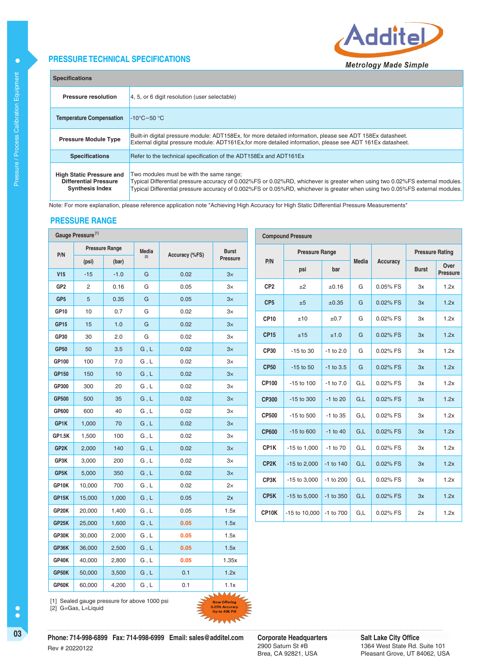## **PRESSURE TECHNICAL SPECIFICATIONS**



| <b>Specifications</b>                                                                     |                                                                                                                                                                                                                                                                                                          |  |  |  |  |  |
|-------------------------------------------------------------------------------------------|----------------------------------------------------------------------------------------------------------------------------------------------------------------------------------------------------------------------------------------------------------------------------------------------------------|--|--|--|--|--|
| <b>Pressure resolution</b>                                                                | 4, 5, or 6 digit resolution (user selectable)                                                                                                                                                                                                                                                            |  |  |  |  |  |
| <b>Temperature Compensation</b>                                                           | $-10^{\circ}$ C $\sim$ 50 $^{\circ}$ C                                                                                                                                                                                                                                                                   |  |  |  |  |  |
| <b>Pressure Module Type</b>                                                               | Built-in digital pressure module: ADT158Ex, for more detailed information, please see ADT 158Ex datasheet.<br>External digital pressure module: ADT161Ex, for more detailed information, please see ADT 161Ex datasheet.                                                                                 |  |  |  |  |  |
| <b>Specifications</b>                                                                     | Refer to the technical specification of the ADT158Ex and ADT161Ex                                                                                                                                                                                                                                        |  |  |  |  |  |
| <b>High Static Pressure and</b><br><b>Differential Pressure</b><br><b>Synthesis Index</b> | Two modules must be with the same range;<br>Typical Differential pressure accuracy of 0.002%FS or 0.02%RD, whichever is greater when using two 0.02%FS external modules.<br>Typical Differential pressure accuracy of 0.002%FS or 0.05%RD, whichever is greater when using two 0.05%FS external modules. |  |  |  |  |  |

Note: For more explanation, please reference application note "Achieving High Accuracy for High Static Differential Pressure Measurements"

#### **PRESSURE RANGE**

|                  | Gauge Pressure <sup>[1]</sup> |                       |                               |                |              |                   | <b>Compound Pressure</b> |               |       |          |                        |                  |
|------------------|-------------------------------|-----------------------|-------------------------------|----------------|--------------|-------------------|--------------------------|---------------|-------|----------|------------------------|------------------|
| P/N              |                               | <b>Pressure Range</b> | <b>Media</b>                  | Accuracy (%FS) | <b>Burst</b> |                   | <b>Pressure Range</b>    |               |       |          | <b>Pressure Rating</b> |                  |
|                  | (psi)                         | (bar)                 |                               |                | Pressure     | P/N               | psi                      | bar           | Media | Accuracy | <b>Burst</b>           | Over<br>Pressure |
| V15              | $-15$                         | $-1.0$                | ${\bf G}$                     | 0.02           | 3x           |                   |                          |               |       |          |                        |                  |
| GP <sub>2</sub>  | $\mathbf{2}^{\prime}$         | 0.16                  | G                             | 0.05           | $3\times$    | CP <sub>2</sub>   | ±2                       | ±0.16         | G     | 0.05% FS | Зx                     | 1.2x             |
| GP <sub>5</sub>  | 5                             | 0.35                  | ${\mathsf G}$                 | 0.05           | 3x           | CP <sub>5</sub>   | ±5                       | ±0.35         | G     | 0.02% FS | 3x                     | 1.2x             |
| GP10             | 10                            | 0.7                   | G                             | 0.02           | $3\times$    | <b>CP10</b>       | ±10                      | ±0.7          | G     | 0.02% FS | Зx                     | 1.2x             |
| GP <sub>15</sub> | 15                            | 1.0                   | ${\mathsf G}$                 | 0.02           | 3x           |                   |                          |               |       |          |                        |                  |
| GP30             | 30                            | 2.0                   | G                             | 0.02           | $3\times$    | <b>CP15</b>       | ±15                      | ±1.0          | G     | 0.02% FS | 3x                     | 1.2x             |
| <b>GP50</b>      | 50                            | 3.5                   | G, L                          | 0.02           | 3x           | CP30              | -15 to 30                | $-1$ to 2.0   | G     | 0.02% FS | Зx                     | 1.2x             |
| GP100            | 100                           | 7.0                   | G, L                          | 0.02           | $3\times$    | <b>CP50</b>       | $-15$ to $50$            | $-1$ to $3.5$ | G     | 0.02% FS | 3x                     | 1.2x             |
| GP150            | 150                           | 10                    | ${\sf G}$ , ${\sf L}$         | 0.02           | 3x           |                   |                          |               |       |          |                        |                  |
| GP300            | 300                           | 20                    | G, L                          | 0.02           | $3\times$    | CP100             | -15 to 100               | $-1$ to $7.0$ | G,L   | 0.02% FS | Зx                     | 1.2x             |
| GP500            | 500                           | 35                    | ${\sf G}$ , ${\sf L}$         | 0.02           | 3x           | <b>CP300</b>      | -15 to 300               | $-1$ to 20    | G,L   | 0.02% FS | 3x                     | 1.2x             |
| GP600            | 600                           | 40                    | G, L                          | 0.02           | $3\times$    | <b>CP500</b>      | -15 to 500               | $-1$ to 35    | G,L   | 0.02% FS | Зx                     | 1.2x             |
| GP1K             | 1,000                         | 70                    | ${\sf G}$ , ${\sf L}$         | 0.02           | 3x           | <b>CP600</b>      | $-15$ to $600$           | $-1$ to 40    |       | 0.02% FS |                        |                  |
| GP1.5K           | 1,500                         | 100                   | ${\mathsf G}$ , ${\mathsf L}$ | 0.02           | $3\times$    |                   |                          |               | G,L   |          | 3x                     | 1.2x             |
| GP2K             | 2,000                         | 140                   | G, L                          | 0.02           | 3x           | CP1K              | $-15$ to $1,000$         | $-1$ to $70$  | G,L   | 0.02% FS | Зx                     | 1.2x             |
| GP3K             | 3,000                         | 200                   | ${\mathsf G}$ , ${\mathsf L}$ | 0.02           | $3\times$    | CP <sub>2</sub> K | -15 to 2,000             | $-1$ to $140$ | G,L   | 0.02% FS | 3x                     | 1.2x             |
| GP5K             | 5,000                         | 350                   | G, L                          | 0.02           | 3x           | CP3K              | $-15$ to 3,000           | -1 to 200     | G,L   | 0.02% FS | Зx                     | 1.2x             |
| GP10K            | 10,000                        | 700                   | ${\mathsf G}$ , ${\mathsf L}$ | 0.02           | 2x           |                   |                          |               |       |          |                        |                  |
| GP15K            | 15,000                        | 1,000                 | ${\sf G}$ , ${\sf L}$         | 0.05           | 2x           | CP <sub>5</sub> K | $-15$ to $5,000$         | -1 to 350     | G,L   | 0.02% FS | 3x                     | 1.2x             |
| GP20K            | 20,000                        | 1,400                 | G, L                          | 0.05           | 1.5x         | CP10K             | -15 to 10,000            | -1 to 700     | G,L   | 0.02% FS | 2x                     | 1.2x             |
| GP25K            | 25,000                        | 1,600                 | ${\sf G}$ , ${\sf L}$         | 0.05           | 1.5x         |                   |                          |               |       |          |                        |                  |
| GP30K            | 30,000                        | 2,000                 | G, L                          | 0.05           | 1.5x         |                   |                          |               |       |          |                        |                  |
| GP36K            | 36,000                        | 2,500                 | ${\sf G}$ , ${\sf L}$         | 0.05           | 1.5x         |                   |                          |               |       |          |                        |                  |
| GP40K            | 40,000                        | 2,800                 | G, L                          | 0.05           | 1.35x        |                   |                          |               |       |          |                        |                  |
| GP50K            | 50,000                        | 3,500                 | G, L                          | 0.1            | 1.2x         |                   |                          |               |       |          |                        |                  |
| GP60K            | 60,000                        | 4,200                 | G, L                          | 0.1            | 1.1x         |                   |                          |               |       |          |                        |                  |

[1] Sealed gauge pressure for above 1000 psi [2] G=Gas, L=Liquid

Rev # 20220122

).05% Accuracy<br>Up to 40K PSI

**03 Corporate Corporate Headquarters Corporate Headquarters**<br> **Phone: 714-998-6899 Fax: 714-998-6999 Email: sales@additel.com Corporate Headquarters** 

2900 Saturn St #B Brea, CA 92821, USA

**Salt Lake City Office** 1364 West State Rd. Suite 101 Pleasant Grove, UT 84062, USA

 $\bullet$ 

 $\bullet$